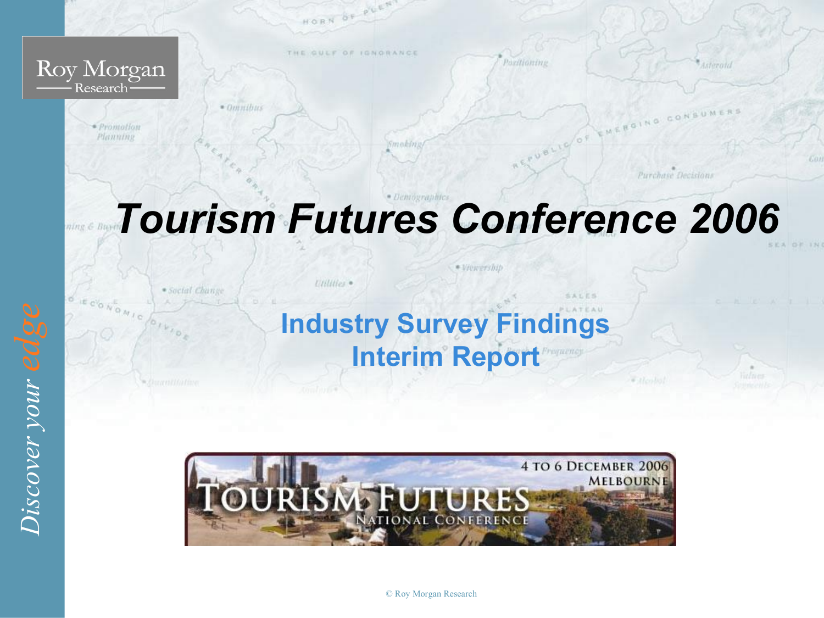

# *Tourism Futures Conference 2006*

Utilities .

· Social Change

**Industry Survey Findings Interim Report**

· Viewership

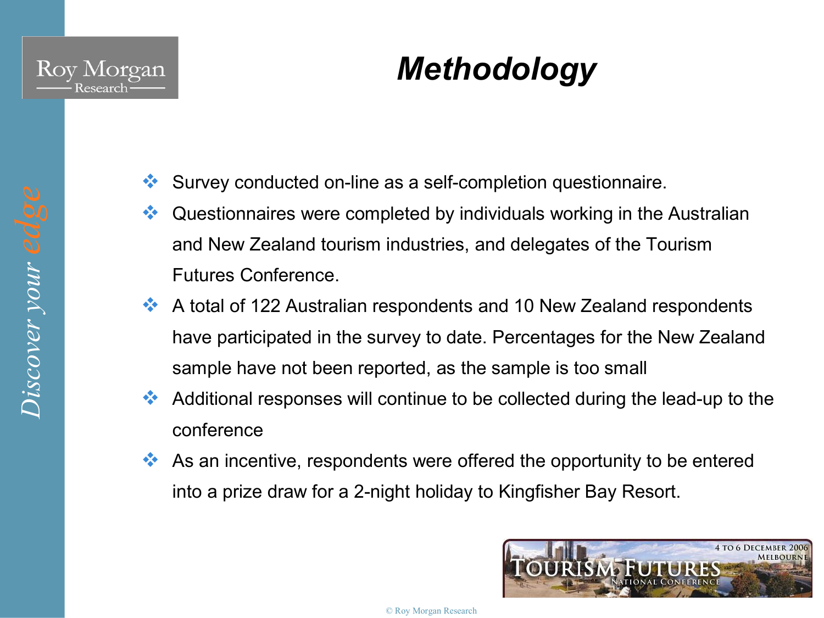

## *Methodology*

- $\cdot$  Survey conducted on-line as a self-completion questionnaire.
- $\bullet\bullet$  Questionnaires were completed by individuals working in the Australian and New Zealand tourism industries, and delegates of the Tourism Futures Conference.
- $\cdot$  A total of 122 Australian respondents and 10 New Zealand respondents have participated in the survey to date. Percentages for the New Zealand sample have not been reported, as the sample is too small
- $\leftrightarrow$  Additional responses will continue to be collected during the lead-up to the conference
- $\bullet\bullet\bullet$  As an incentive, respondents were offered the opportunity to be entered into a prize draw for a 2-night holiday to Kingfisher Bay Resort.

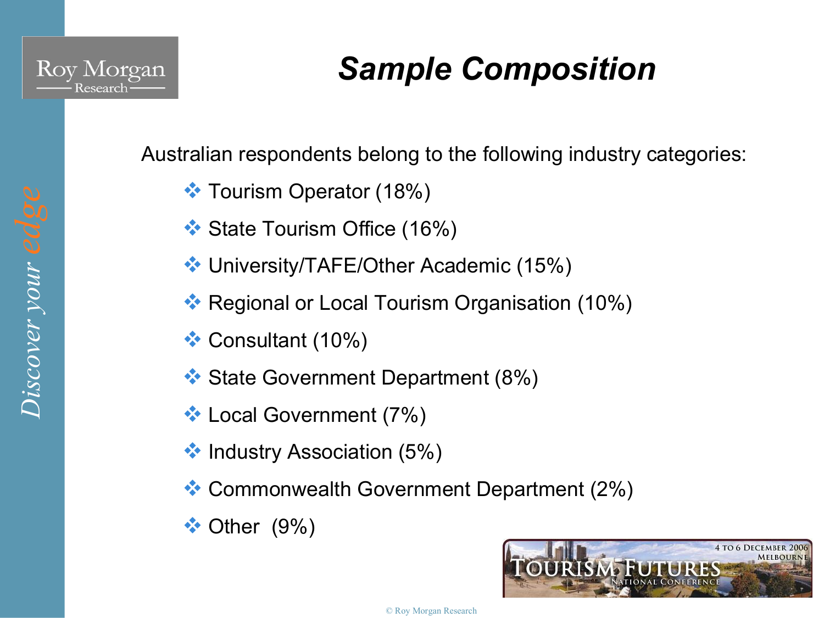

*er your edge* 

## *Sample Composition*

Australian respondents belong to the following industry categories:

- **V** Tourism Operator (18%)
- $\cdot$  State Tourism Office (16%)
- ◆ University/TAFE/Other Academic (15%)
- ◆ Regional or Local Tourism Organisation (10%)
- $\cdot$  Consultant (10%)
- **Ex** State Government Department (8%)
- **V** Local Government (7%)
- $\cdot$  Industry Association (5%)
- v Commonwealth Government Department (2%)
- $\cdot$  Other (9%)

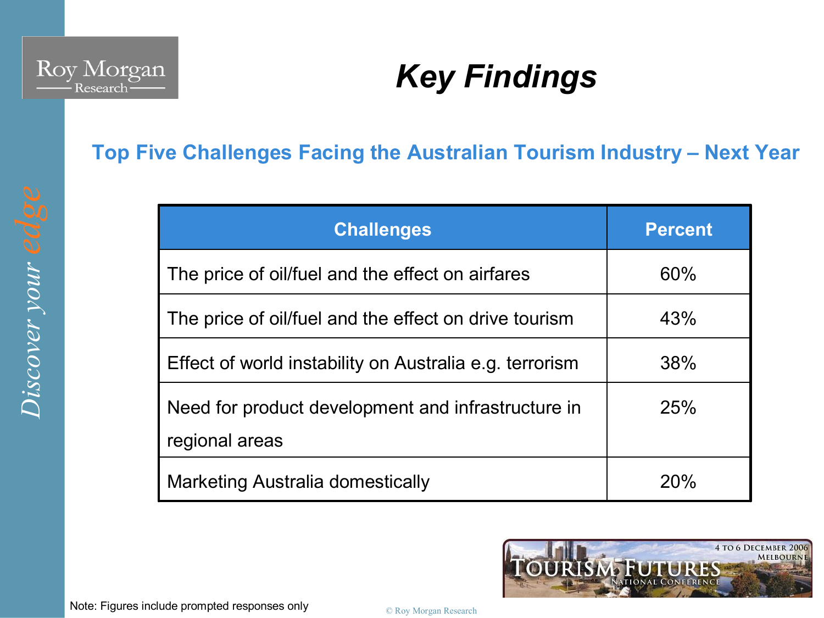

#### **Top Five Challenges Facing the Australian Tourism Industry – Next Year**

| <b>Challenges</b>                                                    | <b>Percent</b> |
|----------------------------------------------------------------------|----------------|
| The price of oil/fuel and the effect on airfares                     | 60%            |
| The price of oil/fuel and the effect on drive tourism                | 43%            |
| Effect of world instability on Australia e.g. terrorism              | 38%            |
| Need for product development and infrastructure in<br>regional areas | 25%            |
| Marketing Australia domestically                                     | 20%            |

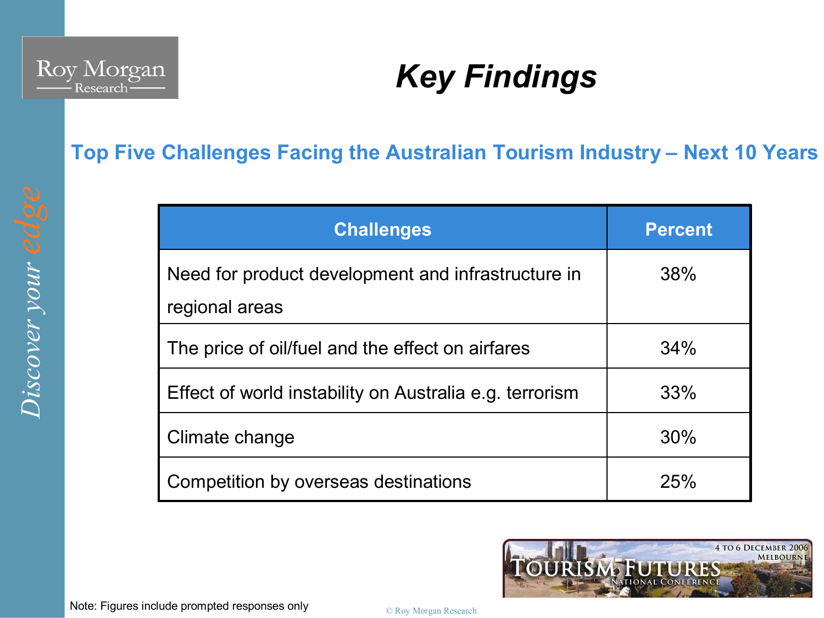

#### **Top Five Challenges Facing the Australian Tourism Industry – Next 10 Years**

| <b>Challenges</b>                                                    | <b>Percent</b> |
|----------------------------------------------------------------------|----------------|
| Need for product development and infrastructure in<br>regional areas | 38%            |
| The price of oil/fuel and the effect on airfares                     | 34%            |
| Effect of world instability on Australia e.g. terrorism              | 33%            |
| Climate change                                                       | 30%            |
| Competition by overseas destinations                                 | 25%            |

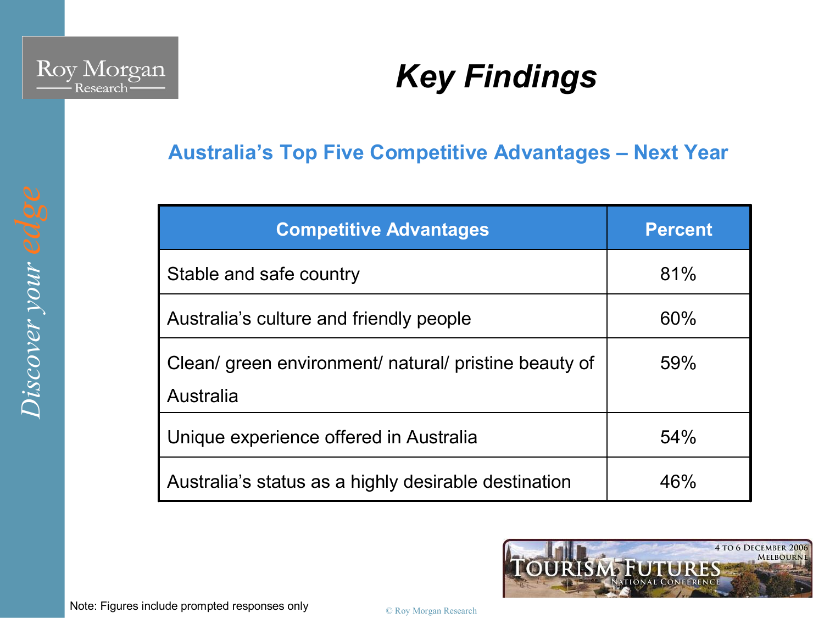

#### **Australia's Top Five Competitive Advantages – Next Year**

| <b>Competitive Advantages</b>                                      | <b>Percent</b> |
|--------------------------------------------------------------------|----------------|
| Stable and safe country                                            | 81%            |
| Australia's culture and friendly people                            | 60%            |
| Clean/ green environment/ natural/ pristine beauty of<br>Australia | 59%            |
| Unique experience offered in Australia                             | 54%            |
| Australia's status as a highly desirable destination               | 46%            |

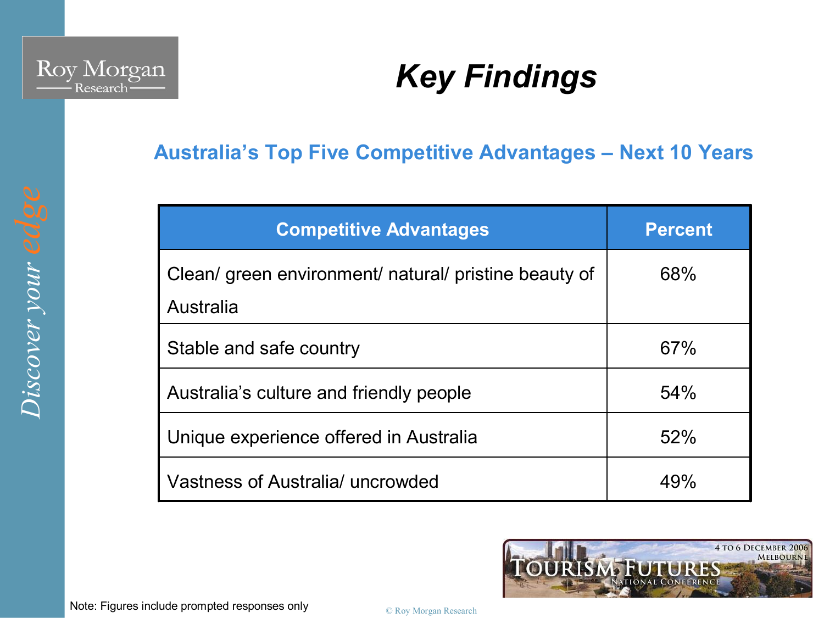

*er your edge* 

### *Key Findings*

#### **Australia's Top Five Competitive Advantages – Next 10 Years**

| <b>Competitive Advantages</b>                                      | <b>Percent</b> |
|--------------------------------------------------------------------|----------------|
| Clean/ green environment/ natural/ pristine beauty of<br>Australia | 68%            |
| Stable and safe country                                            | 67%            |
| Australia's culture and friendly people                            | 54%            |
| Unique experience offered in Australia                             | 52%            |
| Vastness of Australia/ uncrowded                                   | 49%            |

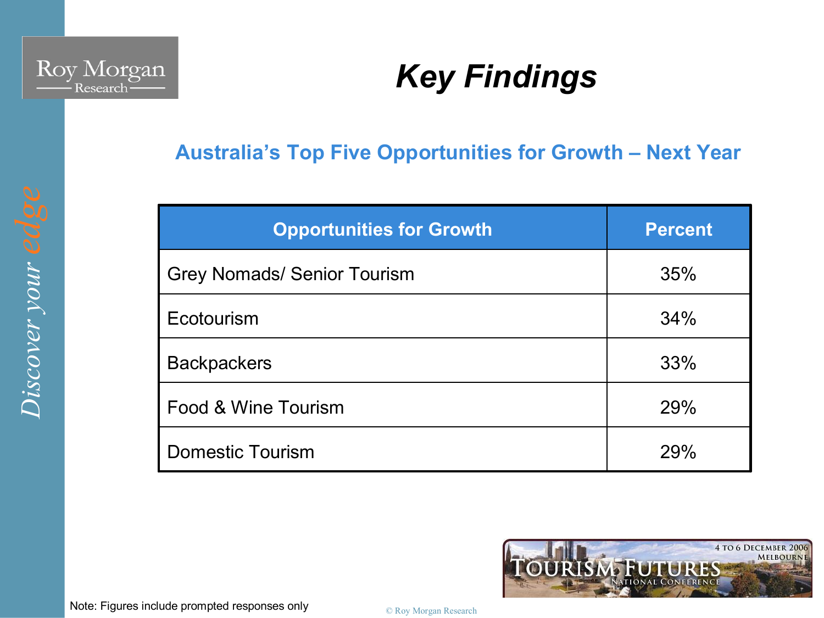

#### **Australia's Top Five Opportunities for Growth – Next Year**

| <b>Opportunities for Growth</b>    | <b>Percent</b> |
|------------------------------------|----------------|
| <b>Grey Nomads/ Senior Tourism</b> | 35%            |
| Ecotourism                         | 34%            |
| <b>Backpackers</b>                 | 33%            |
| Food & Wine Tourism                | 29%            |
| <b>Domestic Tourism</b>            | 29%            |

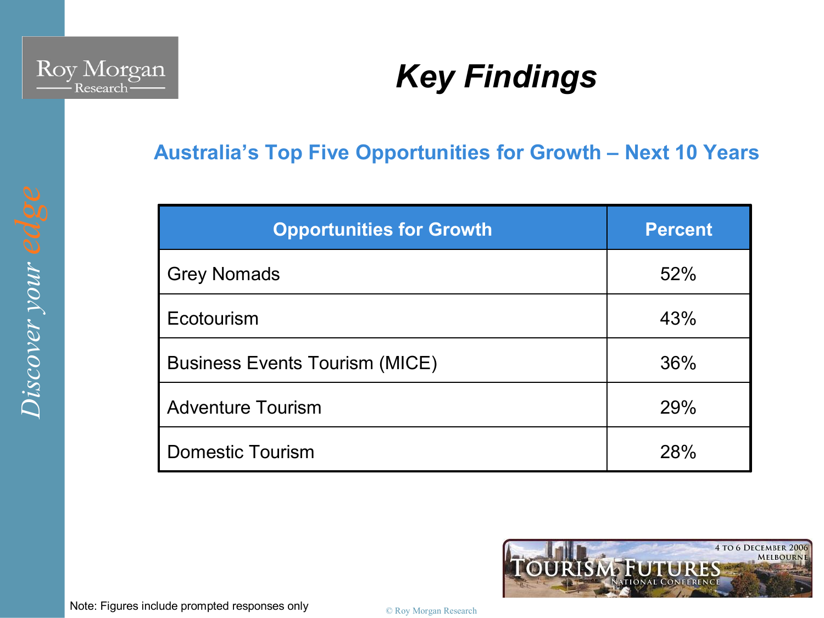

#### **Australia's Top Five Opportunities for Growth – Next 10 Years**

| <b>Opportunities for Growth</b>       | <b>Percent</b> |
|---------------------------------------|----------------|
| <b>Grey Nomads</b>                    | 52%            |
| Ecotourism                            | 43%            |
| <b>Business Events Tourism (MICE)</b> | 36%            |
| <b>Adventure Tourism</b>              | 29%            |
| <b>Domestic Tourism</b>               | <b>28%</b>     |



*er your edge*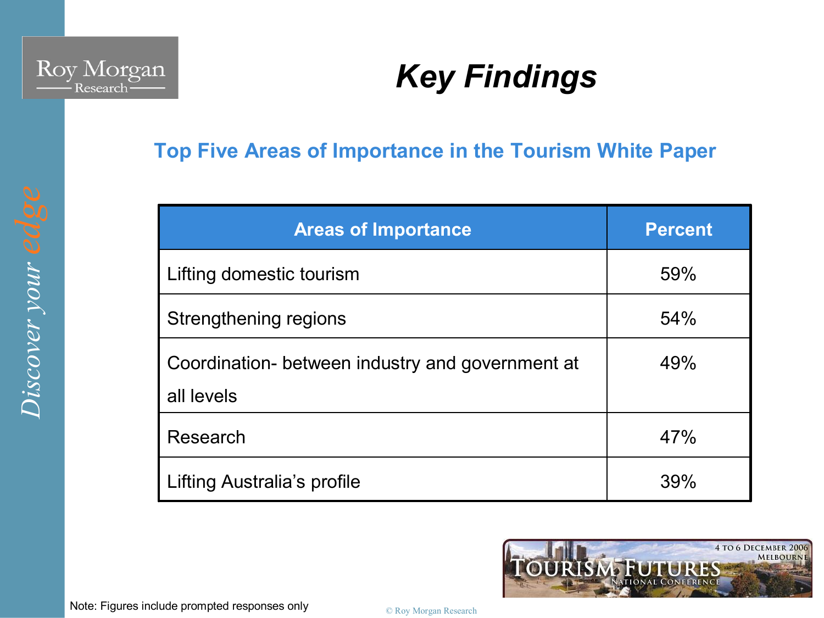

#### **Top Five Areas of Importance in the Tourism White Paper**

| <b>Areas of Importance</b>                                     | <b>Percent</b> |
|----------------------------------------------------------------|----------------|
| Lifting domestic tourism                                       | 59%            |
| Strengthening regions                                          | 54%            |
| Coordination- between industry and government at<br>all levels | 49%            |
| Research                                                       | 47%            |
| Lifting Australia's profile                                    | 39%            |

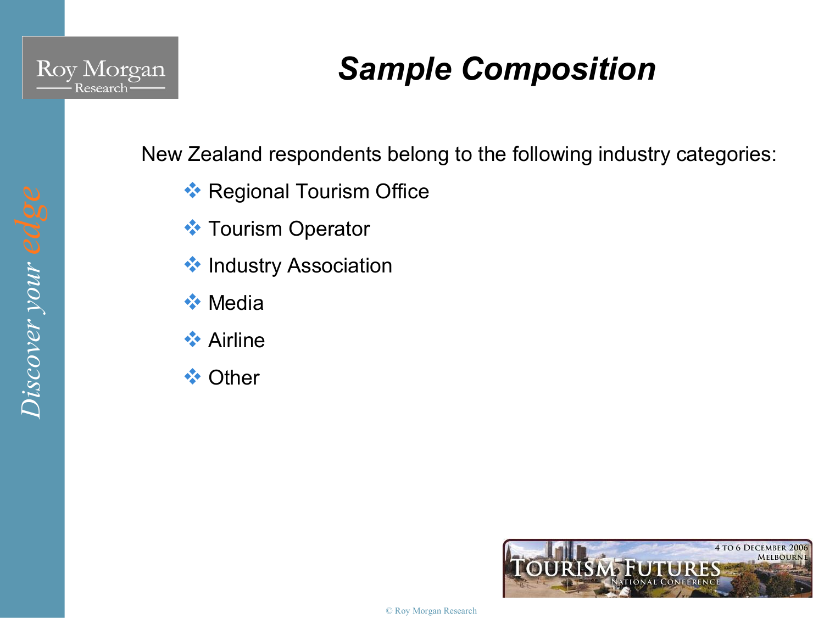

## *Sample Composition*

New Zealand respondents belong to the following industry categories:

- **Ex** Regional Tourism Office
- **❖ Tourism Operator**
- **\*** Industry Association
- $\div$  Media
- $\leftrightarrow$  Airline
- **V** Other

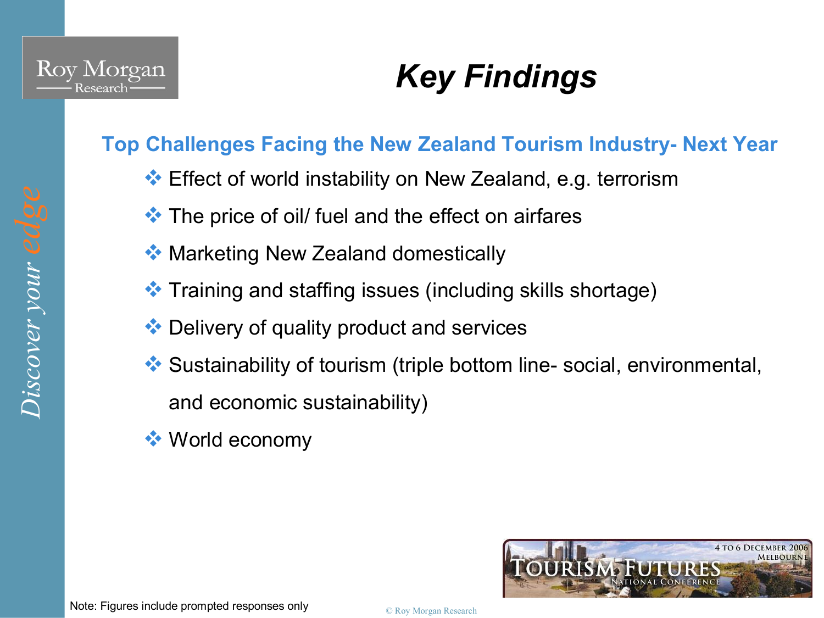

**Top Challenges Facing the New Zealand Tourism Industry- Next Year** 

- $\bullet\bullet$  Effect of world instability on New Zealand, e.g. terrorism
- $\cdot$  The price of oil/ fuel and the effect on airfares
- ◆ Marketing New Zealand domestically
- $\bullet\bullet$  Training and staffing issues (including skills shortage)
- $\bullet\bullet$  Delivery of quality product and services
- $\bullet$  Sustainability of tourism (triple bottom line-social, environmental, and economic sustainability)
- $\cdot$  World economy

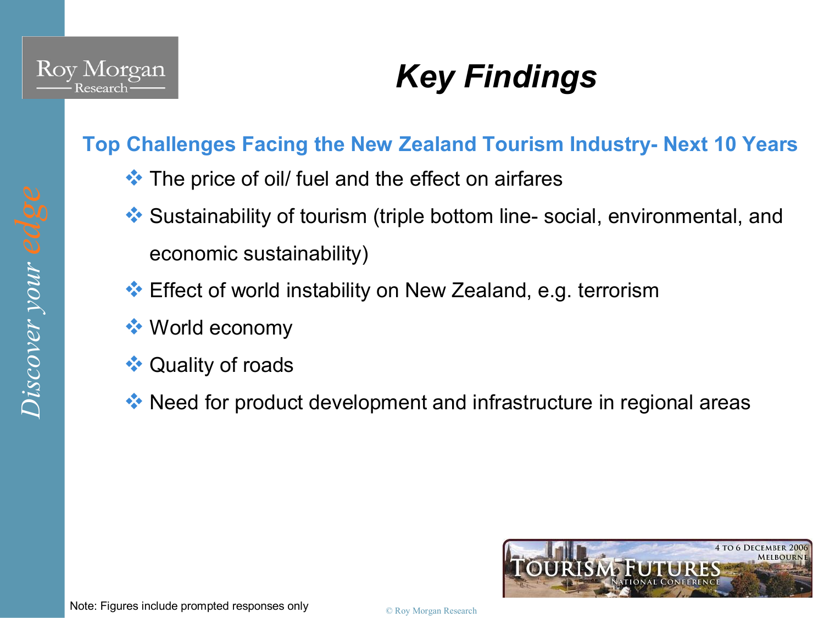

### **Top Challenges Facing the New Zealand Tourism Industry- Next 10 Years**

- $\cdot$  The price of oil/ fuel and the effect on airfares
- $\leftrightarrow$  Sustainability of tourism (triple bottom line-social, environmental, and economic sustainability)
- $\cdot$  Effect of world instability on New Zealand, e.g. terrorism
- $\bullet$  World economy
- **◆ Quality of roads**
- $\cdot$  Need for product development and infrastructure in regional areas

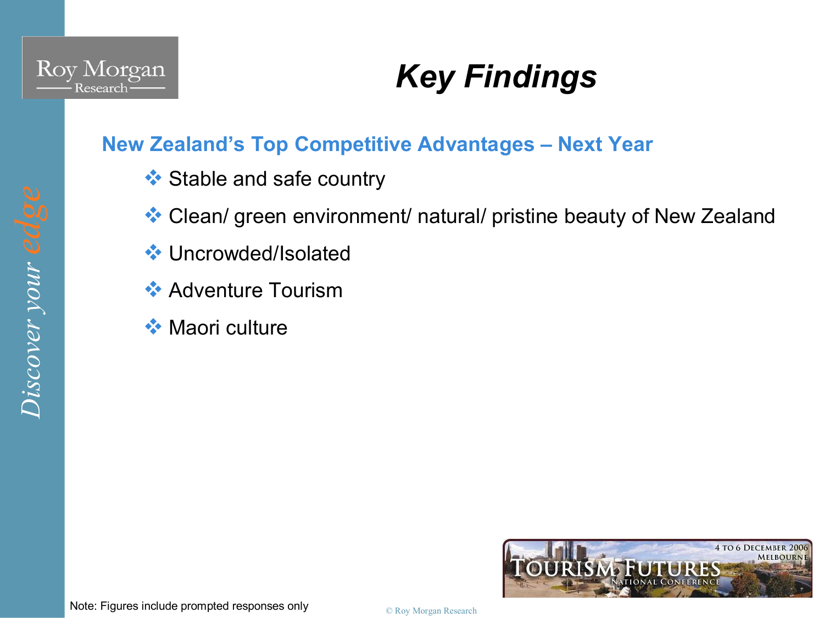

*er your edge* 

## *Key Findings*

### **New Zealand's Top Competitive Advantages – Next Year**

- $\triangleleft$  Stable and safe country
- $\triangleleft$  Clean/ green environment/ natural/ pristine beauty of New Zealand
- **V** Uncrowded/Isolated
- $\leftrightarrow$  Adventure Tourism
- $\leftrightarrow$  Maori culture

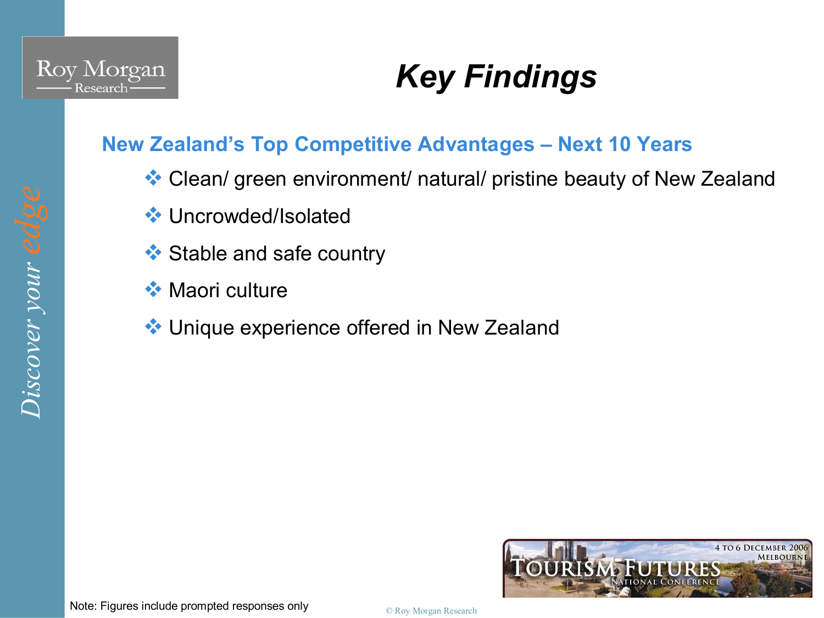

### **New Zealand's Top Competitive Advantages – Next 10 Years**

- $\cdot$  Clean/ green environment/ natural/ pristine beauty of New Zealand
- **V** Uncrowded/Isolated
- $\triangleleft$  Stable and safe country
- $\leftrightarrow$  Maori culture
- **V** Unique experience offered in New Zealand

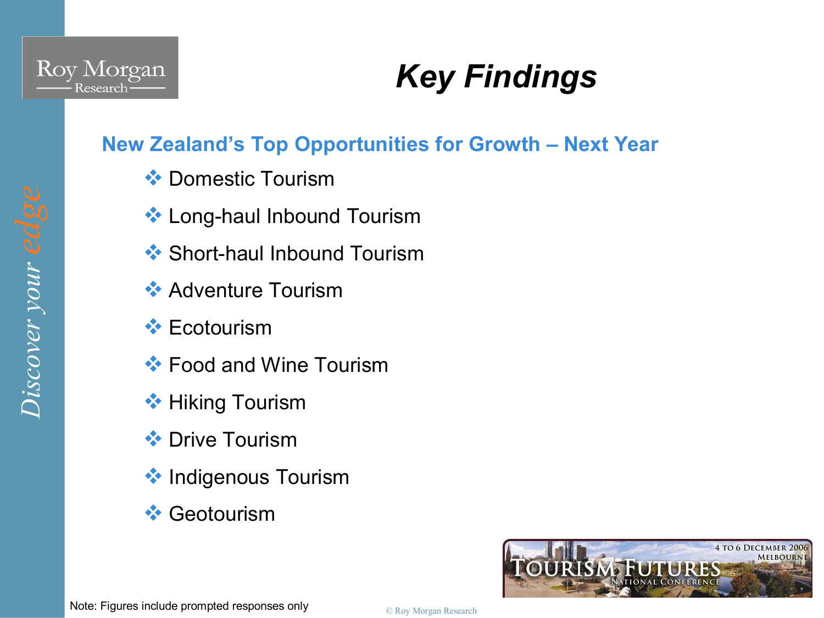

### **New Zealand's Top Opportunities for Growth – Next Year**

- **❖ Domestic Tourism**
- **Long-haul Inbound Tourism**
- $\cdot$  Short-haul Inbound Tourism
- $\leftrightarrow$  Adventure Tourism
- $\cdot$  Ecotourism
- $\cdot$  Food and Wine Tourism
- **◆ Hiking Tourism**
- $\cdot$  Drive Tourism
- **<sup>◆</sup> Indigenous Tourism**
- $\leftrightarrow$  Geotourism

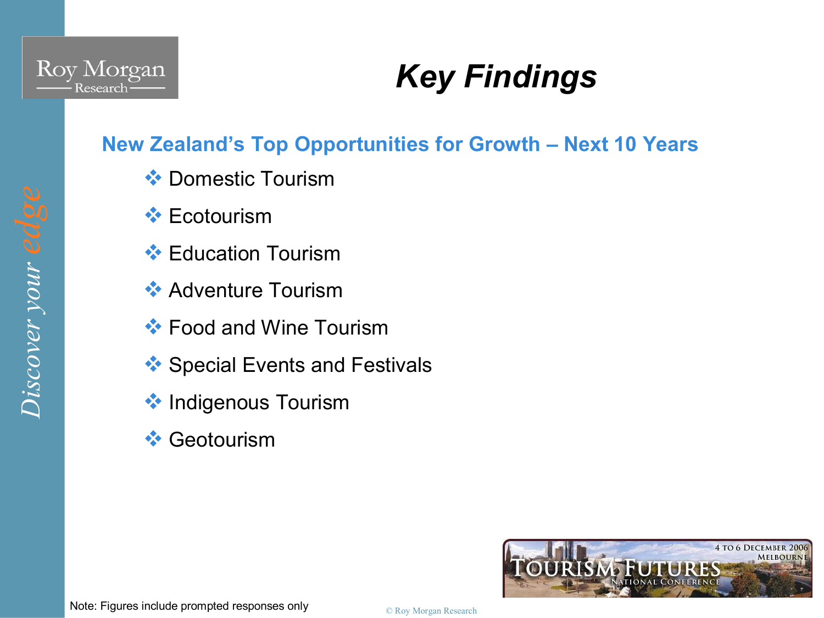

*er your edge* 

## *Key Findings*

### **New Zealand's Top Opportunities for Growth – Next 10 Years**

- **❖ Domestic Tourism**
- $\triangleleft$  Ecotourism
- $\div$  Education Tourism
- $\leftrightarrow$  Adventure Tourism
- $\cdot$  Food and Wine Tourism
- $\triangle$  Special Events and Festivals
- **\*** Indigenous Tourism
- $\leftrightarrow$  Geotourism